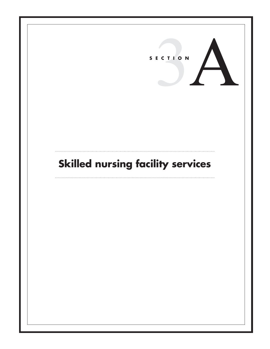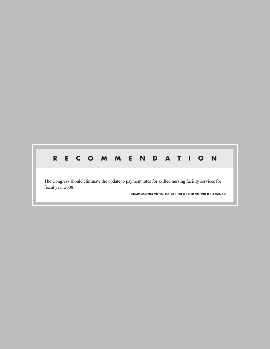# **R E C O M M EN D A T I ON**

The Congress should eliminate the update to payment rates for skilled nursing facility services for fiscal year 2008.

**COMMISSIONER VOTES: YES 14 • NO 0 • NOT VOTING 0 • ABSENT 3**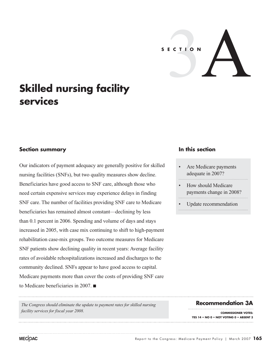

# **Skilled nursing facility services**

## **Section summary**

Our indicators of payment adequacy are generally positive for skilled nursing facilities (SNFs), but two quality measures show decline. Beneficiaries have good access to SNF care, although those who need certain expensive services may experience delays in finding SNF care. The number of facilities providing SNF care to Medicare beneficiaries has remained almost constant—declining by less than 0.1 percent in 2006. Spending and volume of days and stays increased in 2005, with case mix continuing to shift to high-payment rehabilitation case-mix groups. Two outcome measures for Medicare SNF patients show declining quality in recent years: Average facility rates of avoidable rehospitalizations increased and discharges to the community declined. SNFs appear to have good access to capital. Medicare payments more than cover the costs of providing SNF care to Medicare beneficiaries in 2007.

*The Congress should eliminate the update to payment rates for skilled nursing facility services for fiscal year 2008.*

# **In this section**

- Are Medicare payments adequate in 2007?
- How should Medicare payments change in 2008?
- Update recommendation

**Recommendation 3A**

**COMMISSIONER VOTES: YES 14 • NO 0 • NOT VOTING 0 • ABSENT 3**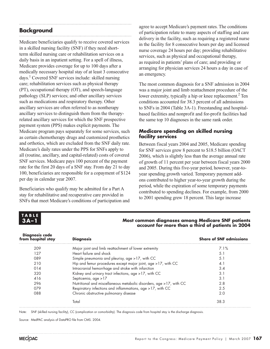# **Background**

Medicare beneficiaries qualify to receive covered services in a skilled nursing facility (SNF) if they need shortterm skilled nursing care or rehabilitation services on a daily basis in an inpatient setting. For a spell of illness, Medicare provides coverage for up to 100 days after a medically necessary hospital stay of at least 3 consecutive days.1 Covered SNF services include: skilled nursing care; rehabilitation services such as physical therapy (PT), occupational therapy (OT), and speech-language pathology (SLP) services; and other ancillary services such as medications and respiratory therapy. Other ancillary services are often referred to as nontherapy ancillary services to distinguish them from the therapyrelated ancillary services for which the SNF prospective payment system (PPS) makes explicit payments. The Medicare program pays separately for some services, such as certain chemotherapy drugs and customized prosthetics and orthotics, which are excluded from the SNF daily rate. Medicare's daily rates under the PPS for SNFs apply to all (routine, ancillary, and capital-related) costs of covered SNF services. Medicare pays 100 percent of the payment rate for the first 20 days of a SNF stay. From day 21 to day 100, beneficiaries are responsible for a copayment of \$124 per day in calendar year 2007.

Beneficiaries who qualify may be admitted for a Part A stay for rehabilitative and recuperative care provided in SNFs that meet Medicare's conditions of participation and

agree to accept Medicare's payment rates. The conditions of participation relate to many aspects of staffing and care delivery in the facility, such as requiring a registered nurse in the facility for 8 consecutive hours per day and licensed nurse coverage 24 hours per day; providing rehabilitative services, such as physical and occupational therapy, as required in patients' plans of care; and providing or arranging for physician services 24 hours a day in case of an emergency.

The most common diagnosis for a SNF admission in 2004 was a major joint and limb reattachment procedure of the lower extremity, typically a hip or knee replacement.<sup>2</sup> Ten conditions accounted for 38.3 percent of all admissions to SNFs in 2004 (Table 3A-1). Freestanding and hospitalbased facilities and nonprofit and for-profit facilities had the same top 10 diagnoses in the same rank order.

#### **Medicare spending on skilled nursing facility services**

Between fiscal years 2004 and 2005, Medicare spending for SNF services grew 8 percent to \$18.5 billion (OACT 2006), which is slightly less than the average annual rate of growth of 11 percent per year between fiscal years 2000 and 2005. During this five-year period, however, year-toyear spending growth varied. Temporary payment addons contributed to higher year-to-year growth during the period, while the expiration of some temporary payments contributed to spending declines. For example, from 2000 to 2001 spending grew 18 percent. This large increase



#### **3A –1 Most common diagnoses among Medicare SNF patients account for more than a third of patients in 2004**

| Diagnosis code<br>from hospital stay | <b>Diagnosis</b>                                                    | <b>Share of SNF admissions</b> |  |  |
|--------------------------------------|---------------------------------------------------------------------|--------------------------------|--|--|
| 209                                  | Major joint and limb reattachment of lower extremity                | 7.1%                           |  |  |
| 127                                  | Heart failure and shock                                             | 5.1                            |  |  |
| 089                                  | Simple pneumonia and pleurisy, age >17, with CC                     | 5.1                            |  |  |
| 210                                  | Hip and femur procedures except major joint, age >17, with CC       | 4.1                            |  |  |
| 014                                  | Intracranial hemorrhage and stroke with infarction                  | 3.4                            |  |  |
| 320                                  | Kidney and urinary tract infections, age >17, with CC               | 3.1                            |  |  |
| 416                                  | Septicemia, age >17                                                 | 3.1                            |  |  |
| 296                                  | Nutritional and miscellaneous metabolic disorders, age >17, with CC | 2.8                            |  |  |
| 079                                  | Respiratory infections and inflammations, age >17, with CC          | 2.5                            |  |  |
| 088                                  | Chronic obstructive pulmonary disease                               | 2.0                            |  |  |
|                                      | Total                                                               | 38.3                           |  |  |

Note: SNF (skilled nursing facility), CC (complication or comorbidity). The diagnosis code from hospital stay is the discharge diagnosis.

Source: MedPAC analysis of DataPRO file from CMS. 2004.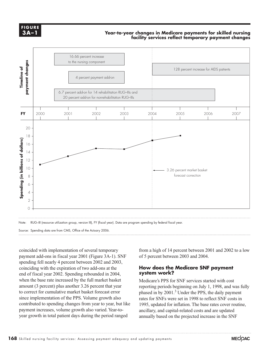

#### **Year-to-year changes in Medicare payments for skilled nursing Year-to-year changes in Medicare payments for skilled nursing facility facility services reflect temporary payment changes services reflect temporary payment changes**



Note: RUG–III (resource utilization group, version III), FY (fiscal year). Data are program spending by federal fiscal year.

Source: Spending data are from CMS, Office of the Actuary 2006.

coincided with implementation of several temporary payment add-ons in fiscal year 2001 (Figure 3A-1). SNF spending fell nearly 4 percent between 2002 and 2003, coinciding with the expiration of two add-ons at the end of fiscal year 2002. Spending rebounded in 2004, when the base rate increased by the full market basket amount (3 percent) plus another 3.26 percent that year to correct for cumulative market basket forecast error since implementation of the PPS. Volume growth also contributed to spending changes from year to year, but like payment increases, volume growth also varied. Year-toyear growth in total patient days during the period ranged

from a high of 14 percent between 2001 and 2002 to a low of 5 percent between 2003 and 2004.

#### **How does the Medicare SNF payment system work?**

Medicare's PPS for SNF services started with cost reporting periods beginning on July 1, 1998, and was fully phased in by 2001.<sup>3</sup> Under the PPS, the daily payment rates for SNFs were set in 1998 to reflect SNF costs in 1995, updated for inflation. The base rates cover routine, ancillary, and capital-related costs and are updated annually based on the projected increase in the SNF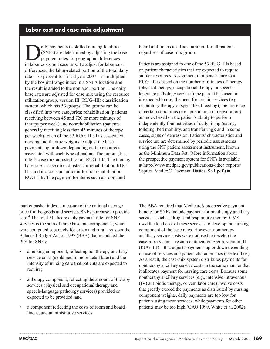# **Labor cost and case-mix adjustment**

aily payments to skilled nursing facilities<br>
(SNFs) are determined by adjusting the bapayment rates for geographic differences (SNFs) are determined by adjusting the base payment rates for geographic differences in labor costs and case mix. To adjust for labor cost differences, the labor-related portion of the total daily rate—76 percent for fiscal year 2007—is multiplied by the hospital wage index in a SNF's location and the result is added to the nonlabor portion. The daily base rates are adjusted for case mix using the resource utilization group, version III (RUG–III) classification system, which has 53 groups. The groups can be classified into two categories: rehabilitation (patients receiving between 45 and 720 or more minutes of therapy per week) and nonrehabilitation (patients generally receiving less than 45 minutes of therapy per week). Each of the 53 RUG–IIIs has associated nursing and therapy weights to adjust the base payments up or down depending on the resources associated with each type of patient. The nursing base rate is case mix adjusted for all RUG–IIIs. The therapy base rate is case mix adjusted for rehabilitation RUG– IIIs and is a constant amount for nonrehabilitation RUG–IIIs. The payment for items such as room and

market basket index, a measure of the national average price for the goods and services SNFs purchase to provide care.<sup>4</sup> The total Medicare daily payment rate for SNF services is the sum of three base rate components, which were computed separately for urban and rural areas per the Balanced Budget Act of 1997 (BBA) that mandated the PPS for SNFs:

- a nursing component, reflecting nontherapy ancillary service costs (explained in more detail later) and the intensity of nursing care that patients are expected to require;
- a therapy component, reflecting the amount of therapy services (physical and occupational therapy and speech-language pathology services) provided or expected to be provided; and
- a component reflecting the costs of room and board, linens, and administrative services.

board and linens is a fixed amount for all patients regardless of case-mix group.

Patients are assigned to one of the 53 RUG–IIIs based on patient characteristics that are expected to require similar resources. Assignment of a beneficiary to a RUG–III is based on the number of minutes of therapy (physical therapy, occupational therapy, or speechlanguage pathology services) the patient has used or is expected to use; the need for certain services (e.g., respiratory therapy or specialized feeding); the presence of certain conditions (e.g., pneumonia or dehydration); an index based on the patient's ability to perform independently four activities of daily living (eating, toileting, bed mobility, and transferring); and in some cases, signs of depression. Patients' characteristics and service use are determined by periodic assessments using the SNF patient assessment instrument, known as the Minimum Data Set. (More information about the prospective payment system for SNFs is available at http://www.medpac.gov/publications/other\_reports/ Sept06\_MedPAC\_Payment\_Basics\_SNF.pdf.) ■

The BBA required that Medicare's prospective payment bundle for SNFs include payment for nontherapy ancillary services, such as drugs and respiratory therapy. CMS used the total cost of these services to develop the nursing component of the base rates. However, nontherapy ancillary service costs were not used to develop the case-mix system—resource utilization group, version III (RUG–III)—that adjusts payments up or down depending on use of services and patient characteristics (see text box). As a result, the case-mix system distributes payments for nontherapy ancillary service costs in the same manner that it allocates payment for nursing care costs. Because some nontherapy ancillary services (e.g., intensive intravenous (IV) antibiotic therapy, or ventilator care) involve costs that greatly exceed the payments as distributed by nursing component weights, daily payments are too low for patients using these services, while payments for other patients may be too high (GAO 1999, White et al. 2002).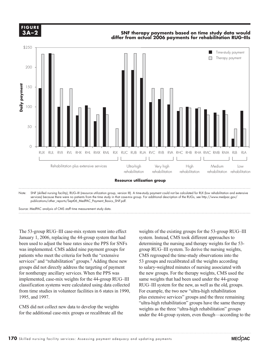

## **SNF therapy payments based on time study data would from actual 2006 payments for rehabilitation RUG–IIIs differ from actual 2006 payments for rehabilitation RUG–IIIs**

**SNF therapy payments based on time study data would differ**



Note: SNF (skilled nursing facility), RUG–III (resource utilization group, version III). A time-study payment could not be calculated for RLX (low rehabilitation and extensive services) because there were no patients from the time study in that case-mix group. For additional description of the RUGs, see http://www.medpac.gov/ publications/other\_reports/Sept06\_MedPAC\_Payment\_Basics\_SNF.pdf.

Source: MedPAC analysis of CMS staff time measurement study data.

The 53-group RUG–III case-mix system went into effect January 1, 2006, replacing the 44-group system that had been used to adjust the base rates since the PPS for SNFs was implemented. CMS added nine payment groups for patients who meet the criteria for both the "extensive services" and "rehabilitation" groups.<sup>5</sup> Adding these new groups did not directly address the targeting of payment for nontherapy ancillary services. When the PPS was implemented, case-mix weights for the 44-group RUG–III classification systems were calculated using data collected from time studies in volunteer facilities in 6 states in 1990, 1995, and 1997.

CMS did not collect new data to develop the weights for the additional case-mix groups or recalibrate all the

weights of the existing groups for the 53-group RUG–III system. Instead, CMS took different approaches to determining the nursing and therapy weights for the 53 group RUG–III system. To derive the nursing weights, CMS regrouped the time-study observations into the 53 groups and recalibrated all the weights according to salary-weighted minutes of nursing associated with the new groups. For the therapy weights, CMS used the same weights that had been used under the 44-group RUG–III system for the new, as well as the old, groups. For example, the two new "ultra-high rehabilitation plus extensive services" groups and the three remaining "ultra-high rehabilitation" groups have the same therapy weights as the three "ultra-high rehabilitation" groups under the 44-group system, even though—according to the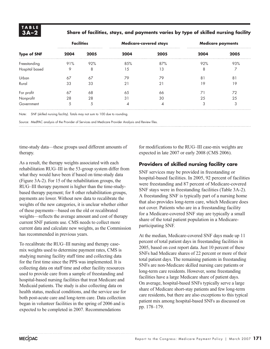## **3A –2 Share of facilities, stays, and payments varies by type of skilled nursing facility**

| <b>Type of SNF</b> | <b>Facilities</b> |            | <b>Medicare-covered stays</b> |      | <b>Medicare payments</b> |      |
|--------------------|-------------------|------------|-------------------------------|------|--------------------------|------|
|                    | 2004              | 2005       | 2004                          | 2005 | 2004                     | 2005 |
| Freestanding       | 91%               | 92%        | 8.5%                          | 87%  | 92%                      | 93%  |
| Hospital based     |                   | 8          | 15                            | 13   | O                        |      |
| Urban              | 67                | 67         | 79                            | 79   | 8                        | 81   |
| Rural              | 33                | 33         | $2^{\frac{1}{2}}$             | 2.   | 19                       | 19   |
| For profit         | 67                | 68         | 6.5                           | 66   |                          |      |
| Nonprofit          | 28                | 28         | 3.                            | 30   | 25                       | 25   |
| Government         | 5                 | $\sqrt{2}$ |                               |      |                          |      |

Note: SNF (skilled nursing facility). Totals may not sum to 100 due to rounding.

Source: MedPAC analysis of the Provider of Services and Medicare Provider Analysis and Review files.

time-study data—these groups used different amounts of therapy.

As a result, the therapy weights associated with each rehabilitation RUG–III in the 53-group system differ from what they would have been if based on time-study data (Figure 3A-2). For 15 of the rehabilitation groups, the RUG–III therapy payment is higher than the time-studybased therapy payment; for 8 other rehabilitation groups, payments are lower. Without new data to recalibrate the weights of the new categories, it is unclear whether either of these payments—based on the old or recalibrated weights—reflects the average amount and cost of therapy current SNF patients use. CMS needs to collect more current data and calculate new weights, as the Commission has recommended in previous years.

To recalibrate the RUG–III nursing and therapy casemix weights used to determine payment rates, CMS is studying nursing facility staff time and collecting data for the first time since the PPS was implemented. It is collecting data on staff time and other facility resources used to provide care from a sample of freestanding and hospital-based nursing facilities that treat Medicare and Medicaid patients. The study is also collecting data on health status, medical conditions, and the service use for both post-acute care and long-term care. Data collection began in volunteer facilities in the spring of 2006 and is expected to be completed in 2007. Recommendations

for modifications to the RUG–III case-mix weights are expected in late 2007 or early 2008 (CMS 2006).

## **Providers of skilled nursing facility care**

SNF services may be provided in freestanding or hospital-based facilities. In 2005, 92 percent of facilities were freestanding and 87 percent of Medicare-covered SNF stays were in freestanding facilities (Table 3A-2). A freestanding SNF is typically part of a nursing home that also provides long-term care, which Medicare does not cover. Patients who are in a freestanding facility for a Medicare-covered SNF stay are typically a small share of the total patient population in a Medicareparticipating SNF.

At the median, Medicare-covered SNF days made up 11 percent of total patient days in freestanding facilities in 2005, based on cost report data. Just 10 percent of these SNFs had Medicare shares of 22 percent or more of their total patient days. The remaining patients in freestanding SNFs are non-Medicare skilled nursing care patients or long-term care residents. However, some freestanding facilities have a large Medicare share of patient days. On average, hospital-based SNFs typically serve a large share of Medicare short-stay patients and few long-term care residents, but there are also exceptions to this typical patient mix among hospital-based SNFs as discussed on pp. 178–179.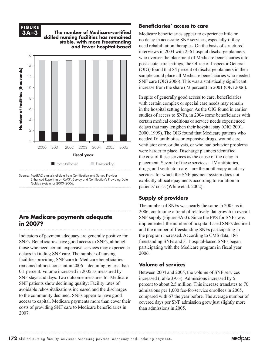#### **F i g ure FIGURE 4A–2**

#### **3A –3 The number of Medicare-certified The number of Medicare-certified skilled nursing facilities has remained skilled nursing facilities has remained** stable, with more freestanding  **and fewer hospital-based and fewer are hospital based**



Enhanced Reporting on CMS's Survey and Certification's Providing Data Quickly system for 2000–2006.

# **Are Medicare payments adequate in 2007?**

Indicators of payment adequacy are generally positive for SNFs. Beneficiaries have good access to SNFs, although those who need certain expensive services may experience delays in finding SNF care. The number of nursing facilities providing SNF care to Medicare beneficiaries remained almost constant in 2006—declining by less than 0.1 percent. Volume increased in 2005 as measured by SNF stays and days. Two outcome measures for Medicare SNF patients show declining quality: Facility rates of avoidable rehospitalizations increased and the discharges to the community declined. SNFs appear to have good access to capital. Medicare payments more than cover their costs of providing SNF care to Medicare beneficiaries in 2007.

## **Beneficiaries' access to care**

Medicare beneficiaries appear to experience little or no delay in accessing SNF services, especially if they need rehabilitation therapies. On the basis of structured interviews in 2004 with 256 hospital discharge planners who oversee the placement of Medicare beneficiaries into post-acute care settings, the Office of Inspector General (OIG) found that 84 percent of discharge planners in their sample could place all Medicare beneficiaries who needed SNF care (OIG 2006). This was a statistically significant increase from the share  $(73$  percent) in  $2001$  (OIG  $2006$ ).

In spite of generally good access to care, beneficiaries with certain complex or special care needs may remain in the hospital setting longer. As the OIG found in earlier studies of access to SNFs, in 2004 some beneficiaries with certain medical conditions or service needs experienced delays that may lengthen their hospital stay (OIG 2001, 2000, 1999). The OIG found that Medicare patients who needed IV antibiotics or expensive drugs, wound care, ventilator care, or dialysis, or who had behavior problems were harder to place. Discharge planners identified the cost of these services as the cause of the delay in placement. Several of these services—IV antibiotics, drugs, and ventilator care—are the nontherapy ancillary services for which the SNF payment system does not explicitly allocate payments according to variation in patients' costs (White et al. 2002).

# **Supply of providers**

The number of SNFs was nearly the same in 2005 as in 2006, continuing a trend of relatively flat growth in overall SNF supply (Figure 3A-3). Since the PPS for SNFs was implemented, the number of hospital-based SNFs declined and the number of freestanding SNFs participating in the program increased. According to CMS data, 186 freestanding SNFs and 31 hospital-based SNFs began participating with the Medicare program in fiscal year 2006.

# **Volume of services**

Between 2004 and 2005, the volume of SNF services increased (Table 3A-3). Admissions increased by 5 percent to about 2.5 million. This increase translates to 70 admissions per 1,000 fee-for-service enrollees in 2005, compared with 67 the year before. The average number of covered days per SNF admission grew just slightly more than admissions in 2005.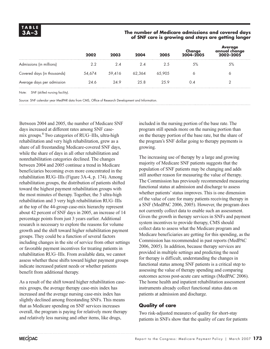#### **3A –3 The number of Medicare admissions and covered days of SNF care is growing and stays are getting longer**

|                                                                                    | 2002   | 2003   | 2004   | 2005   | Change<br>2004-2005 | <b>Average</b><br>annual change<br>2002-2005 |
|------------------------------------------------------------------------------------|--------|--------|--------|--------|---------------------|----------------------------------------------|
| Admissions (in millions)                                                           | 2.2    | 2.4    | 2.4    | 2.5    | 5%                  | 5%                                           |
| Covered days (in thousands)                                                        | 54.674 | 59.416 | 62.364 | 65.905 | Ô                   | Ô                                            |
| Average days per admission                                                         | 24.6   | 24.9   | 25.8   | 25.9   | 0.4                 | ≘                                            |
| $\mathbf{M}$ is $\mathbf{M}$ and $\mathbf{M}$ and $\mathbf{M}$ is the $\mathbf{M}$ |        |        |        |        |                     |                                              |

SNF (skilled nursing facility).

Source: SNF calendar year MedPAR data from CMS, Office of Research Development and Information.

Between 2004 and 2005, the number of Medicare SNF days increased at different rates among SNF casemix groups.<sup>6</sup> Two categories of RUG-IIIs, ultra-high rehabilitation and very high rehabilitation, grew as a share of all freestanding Medicare-covered SNF days, while the share of days in all other rehabilitation and nonrehabilitation categories declined. The changes between 2004 and 2005 continue a trend in Medicare beneficiaries becoming even more concentrated in the rehabilitation RUG–IIIs (Figure 3A-4, p. 174). Among rehabilitation groups, the distribution of patients shifted toward the highest payment rehabilitation groups with the most minutes of therapy. Together, the 3 ultra-high rehabilitation and 3 very high rehabilitation RUG–IIIs at the top of the 44-group case-mix hierarchy represent about 42 percent of SNF days in 2005, an increase of 14 percentage points from just 3 years earlier. Additional research is necessary to explore the reasons for volume growth and the shift toward higher rehabilitation payment groups. They could be a function of several factors including changes in the site of service from other settings or favorable payment incentives for treating patients in rehabilitation RUG–IIIs. From available data, we cannot assess whether these shifts toward higher payment groups indicate increased patient needs or whether patients benefit from additional therapy.

As a result of the shift toward higher rehabilitation casemix groups, the average therapy case-mix index has increased and the average nursing case-mix index has slightly declined among freestanding SNFs. This means that as Medicare spending on SNF services increases overall, the program is paying for relatively more therapy and relatively less nursing and other items, like drugs,

included in the nursing portion of the base rate. The program still spends more on the nursing portion than on the therapy portion of the base rate, but the share of the program's SNF dollar going to therapy payments is growing.

The increasing use of therapy by a large and growing majority of Medicare SNF patients suggests that the population of SNF patients may be changing and adds still another reason for measuring the value of therapy. The Commission has previously recommended measuring functional status at admission and discharge to assess whether patients' status improves. This is one dimension of the value of care for many patients receiving therapy in a SNF (MedPAC 2006, 2005). However, the program does not currently collect data to enable such an assessment. Given the growth in therapy services in SNFs and payment system incentives to provide therapy, CMS should collect data to assess what the Medicare program and Medicare beneficiaries are getting for this spending, as the Commission has recommended in past reports (MedPAC 2006, 2005). In addition, because therapy services are provided in multiple settings and predicting the need for therapy is difficult, understanding the changes in functional status among SNF patients is a critical step to assessing the value of therapy spending and comparing outcomes across post-acute care settings (MedPAC 2006). The home health and inpatient rehabilitation assessment instruments already collect functional status data on patients at admission and discharge.

# **Quality of care**

Two risk-adjusted measures of quality for short-stay patients in SNFs show that the quality of care for patients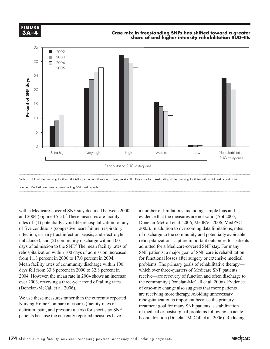

# **Case mix in freestanding SNFs has shifted toward a greater share of and higher intensity rehabilitation RUG–IIIs**

**Case mix in freestanding SNFs has shifted toward a greater**



Note: SNF (skilled nursing facility), RUG-IIIs (resource utilization groups, version III). Days are for freestanding skilled nursing facilities with valid cost report data.

Source: MedPAC analysis of freestanding SNF cost reports.

with a Medicare-covered SNF stay declined between 2000 and 2004 (Figure 3A-5).<sup>7</sup> These measures are facility rates of: (1) potentially avoidable rehospitalization for any of five conditions (congestive heart failure, respiratory infection, urinary tract infection, sepsis, and electrolyte imbalance); and (2) community discharge within 100 days of admission to the SNF.<sup>8</sup> The mean facility rates of rehospitalization within 100 days of admission increased from 11.8 percent in 2000 to 17.0 percent in 2004. Mean facility rates of community discharge within 100 days fell from 33.8 percent in 2000 to 32.8 percent in 2004. However, the mean rate in 2004 shows an increase over 2003, reversing a three-year trend of falling rates (Donelan-McCall et al. 2006).

We use these measures rather than the currently reported Nursing Home Compare measures (facility rates of delirium, pain, and pressure ulcers) for short-stay SNF patients because the currently reported measures have

a number of limitations, including sample bias and evidence that the measures are not valid (Abt 2005, Donelan-McCall et al. 2006, MedPAC 2006, MedPAC 2005). In addition to overcoming data limitations, rates of discharge to the community and potentially avoidable rehospitalizations capture important outcomes for patients admitted for a Medicare-covered SNF stay. For many SNF patients, a major goal of SNF care is rehabilitation for functional losses after surgery or extensive medical problems. The primary goals of rehabilitative therapy which over three-quarters of Medicare SNF patients receive—are recovery of function and often discharge to the community (Donelan-McCall et al. 2006). Evidence of case-mix change also suggests that more patients are receiving more therapy. Avoiding unnecessary rehospitalization is important because the primary treatment goal for many SNF patients is stabilization of medical or postsurgical problems following an acute hospitalization (Donelan-McCall et al. 2006). Reducing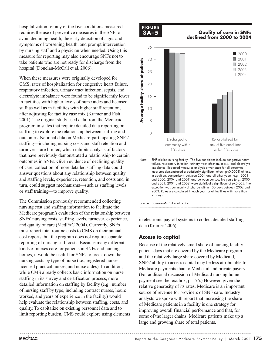hospitalization for any of the five conditions measured requires the use of preventive measures in the SNF to avoid declining health, the early detection of signs and symptoms of worsening health, and prompt intervention by nursing staff and a physician when needed. Using this measure for reporting may also encourage SNFs not to take patients who are not ready for discharge from the hospital (Donelan-McCall et al. 2006).

When these measures were originally developed for CMS, rates of hospitalization for congestive heart failure, respiratory infection, urinary tract infection, sepsis, and electrolyte imbalance were found to be significantly lower in facilities with higher levels of nurse aides and licensed staff as well as in facilities with higher staff retention, after adjusting for facility case mix (Kramer and Fish 2001). The original study used data from the Medicaid program in states that require detailed data reporting on staffing to explore the relationship between staffing and outcomes. National data on Medicare-participating SNFs' staffing—including nursing costs and staff retention and turnover—are limited, which inhibits analysis of factors that have previously demonstrated a relationship to certain outcomes in SNFs. Given evidence of declining quality of care, collection of more detailed staffing data could answer questions about any relationship between quality and staffing levels, experience, retention, and costs and, in turn, could suggest mechanisms—such as staffing levels or staff training—to improve quality.

The Commission previously recommended collecting nursing cost and staffing information to facilitate the Medicare program's evaluation of the relationship between SNFs' nursing costs, staffing levels, turnover, experience, and quality of care (MedPAC 2004). Currently, SNFs must report total routine costs to CMS on their annual cost reports, but the program does not require separate reporting of nursing staff costs. Because many different kinds of nurses care for patients in SNFs and nursing homes, it would be useful for SNFs to break down the nursing costs by type of nurse (i.e., registered nurses, licensed practical nurses, and nurse aides). In addition, while CMS already collects basic information on nurse staffing in its survey and certification process, more detailed information on staffing by facility (e.g., number of nursing staff by type, including contract nurses, hours worked, and years of experience in the facility) would help evaluate the relationship between staffing, costs, and quality. To capitalize on existing personnel data and to limit reporting burden, CMS could explore using elements

# **F i g ure FIGURE 3A–5**

#### **3A–5 Quality of care in SNFs declined from 2000 to 2004**



Note: SNF (skilled nursing facility). The five conditions include congestive heart failure, respiratory infection, urinary tract infection, sepsis, and electrolyte imbalance. Repeated measures analysis of variance for all outcomes measures demonstrated a statistically significant effect (p<0.0001) of time. In addition, comparisons between 2004 and all other years (e.g., 2004 and 2000, 2004 and 2001) and between consecutive years (e.g., 2000 and 2001, 2001 and 2002) were statistically significant at p<0.005. The exception was community discharge within 100 days between 2002 and 2003. Rates are calculated in each year for all facilities with more than 25 stays.

Source: Donelan-McCall et al. 2006.

in electronic payroll systems to collect detailed staffing data (Kramer 2006).

## **Access to capital**

Because of the relatively small share of nursing facility patient-days that are covered by the Medicare program and the relatively large share covered by Medicaid, SNFs' ability to access capital may be less attributable to Medicare payments than to Medicaid and private payers. (For additional discussion of Medicaid nursing home payment see the text box, p. 176.) However, given the relative generosity of its rates, Medicare is an important source of revenue for providers of SNF care. Industry analysts we spoke with report that increasing the share of Medicare patients in a facility is one strategy for improving overall financial performance and that, for some of the larger chains, Medicare patients make up a large and growing share of total patients.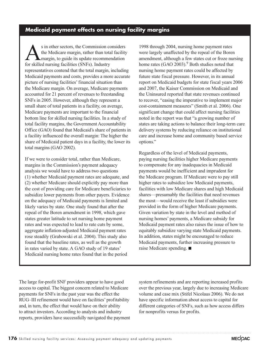# **Medicaid payment effects on nursing facility margins**

s in other sectors, the Commission considers<br>the Medicare margin, rather than total facility<br>margin, to guide its update recommendation<br>for skilled nursing facilities (SNEs) Industry. the Medicare margin, rather than total facility **L** margin, to guide its update recommendation for skilled nursing facilities (SNFs). Industry representatives contend that the total margin, including Medicaid payments and costs, provides a more accurate picture of nursing facilities' financial situation than the Medicare margin. On average, Medicare payments accounted for 21 percent of revenues to freestanding SNFs in 2005. However, although they represent a small share of total patients in a facility, on average, Medicare payments are important to the financial bottom line for skilled nursing facilities. In a study of total facility margins, the Government Accountability Office (GAO) found that Medicaid's share of patients in a facility influenced the overall margin: The higher the share of Medicaid patient days in a facility, the lower its total margins (GAO 2002).

If we were to consider total, rather than Medicare, margins in the Commission's payment adequacy analysis we would have to address two questions (1) whether Medicaid payment rates are adequate, and (2) whether Medicare should explicitly pay more than the cost of providing care for Medicare beneficiaries to subsidize lower payments from other payers. Evidence on the adequacy of Medicaid payments is limited and likely varies by state. One study found that after the repeal of the Boren amendment in 1998, which gave states greater latitude to set nursing home payment rates and was expected to lead to rate cuts by some, aggregate inflation-adjusted Medicaid payment rates rose steadily (Grabowski et al. 2004). This study also found that the baseline rates, as well as the growth in rates varied by state. A GAO study of 19 states' Medicaid nursing home rates found that in the period

1998 through 2004, nursing home payment rates were largely unaffected by the repeal of the Boren amendment, although a few states cut or froze nursing home rates  $(GAO\ 2003)$ .<sup>9</sup> Both studies noted that nursing home payment rates could be affected by future state fiscal pressure. However, in its annual report on Medicaid budgets for state fiscal years 2006 and 2007, the Kaiser Commission on Medicaid and the Uninsured reported that state revenues continued to recover, "easing the imperative to implement major cost-containment measures" (Smith et al. 2006). One significant change that could affect nursing facilities noted in the report was that "a growing number of states are taking actions to balance their long-term care delivery systems by reducing reliance on institutional care and increase home and community based service options."

Regardless of the level of Medicaid payments, paying nursing facilities higher Medicare payments to compensate for any inadequacies in Medicaid payments would be inefficient and imprudent for the Medicare program. If Medicare were to pay still higher rates to subsidize low Medicaid payments, facilities with low Medicare shares and high Medicaid shares—presumably the facilities that need revenues the most—would receive the least if subsidies were provided in the form of higher Medicare payments. Given variation by state in the level and method of nursing homes' payments, a Medicare subsidy for Medicaid payment rates also raises the issue of how to equitably subsidize varying state Medicaid payments. In addition, states might be encouraged to reduce Medicaid payments, further increasing pressure to raise Medicare spending.

The large for-profit SNF providers appear to have good access to capital. The biggest concern related to Medicare payments for SNFs in the past year was the effect the RUG–III refinement would have on facilities' profitability and, in turn, the effect that would have on their ability to attract investors. According to analysts and industry reports, providers have successfully navigated the payment system refinements and are reporting increased profits over the previous year, largely due to increasing Medicare volume and case mix (Stifel Nicolaus 2006). We do not have specific information about access to capital for different categories of SNFs, such as how access differs for nonprofits versus for profits.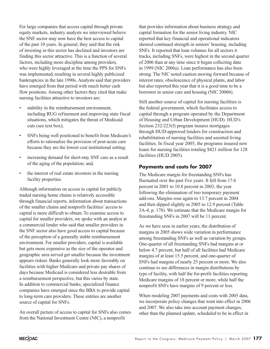For large companies that access capital through private equity markets, industry analysts we interviewed believe the SNF sector may now have the best access to capital of the past 10 years. In general, they said that the risk of investing in this sector has declined and investors are finding this sector attractive. This is a function of several factors, including more discipline among providers, who were highly leveraged at the time the PPS for SNFs was implemented, resulting in several highly publicized bankruptcies in the late 1990s. Analysts said that providers have emerged from that period with much better cash flow positions. Among other factors they cited that make nursing facilities attractive to investors are:

- stability in the reimbursement environment, including RUG refinement and improving state fiscal situations, which mitigates the threat of Medicaid cuts (see text box);
- SNFs being well positioned to benefit from Medicare's efforts to rationalize the provision of post-acute care because they are the lowest cost institutional setting;
- increasing demand for short-stay SNF care as a result of the aging of the population; and,
- the interest of real estate investors in the nursing facility properties.

Although information on access to capital for publicly traded nursing home chains is relatively accessible through financial reports, information about transactions of the smaller chains and nonprofit facilities' access to capital is more difficult to obtain. To examine access to capital for smaller providers, we spoke with an analyst at a commercial lender who said that smaller providers in the SNF sector also have good access to capital because of the perception of a generally stable reimbursement environment. For smaller providers, capital is available but gets more expensive as the size of the operator and geographic area served get smaller because the investment appears riskier. Banks generally look more favorably on facilities with higher Medicare and private pay shares of days because Medicaid is considered less desirable from a reimbursement perspective, but this varies by state. In addition to commercial banks, specialized finance companies have emerged since the BBA to provide capital to long-term care providers. These entities are another source of capital for SNFs.

An overall picture of access to capital for SNFs also comes from the National Investment Center (NIC), a nonprofit

that provides information about business strategy and capital formation for the senior living industry. NIC reported that key financial and operational indicators showed continued strength in seniors' housing, including SNFs. It reported that loan volumes for all sectors it tracks, including SNFs, were highest in the second quarter of 2006 than at any time since it began collecting data in 1999 (NIC 2006a). Loan performance has also been strong. The NIC noted caution moving forward because of interest rates, obsolescence of physical plants, and labor but also reported this year that it is a good time to be a borrower in senior care and housing (NIC 2006b).

Still another source of capital for nursing facilities is the federal government, which facilitates access to capital through a program operated by the Department of Housing and Urban Development (HUD). HUD's Section 232/223(f) program insures mortgages through HUD-approved lenders for construction and rehabilitation of nursing facilities and assisted living facilities. In fiscal year 2005, the programs insured new loans for nursing facilities totaling \$821 million for 128 facilities (HUD 2005).

# **Payments and costs for 2007**

The Medicare margin for freestanding SNFs has fluctuated over the past five years. It fell from 17.6 percent in 2001 to 10.8 percent in 2003, the year following the elimination of two temporary payment add-ons. Margins rose again to 13.7 percent in 2004 and then dipped slightly in 2005 to 12.9 percent (Table 3A-4, p. 178). We estimate that the Medicare margin for freestanding SNFs in 2007 will be 11 percent.

As we have seen in earlier years, the distribution of margins in 2005 shows wide variation in performance among freestanding SNFs as well as variation by groups. One-quarter of all freestanding SNFs had margins at or below 4.7 percent, but half of all facilities had Medicare margins of at least 15.5 percent, and one-quarter of SNFs had margins of nearly 25 percent or more. We also continue to see differences in margin distributions by type of facility, with half the for-profit facilities reporting Medicare margins of 18 percent or more, while half the nonprofit SNFs have margins of 9 percent or less.

When modeling 2007 payments and costs with 2005 data, we incorporate policy changes that went into effect in 2006 and 2007. We also take into account payment changes, other than the planned update, scheduled to be in effect in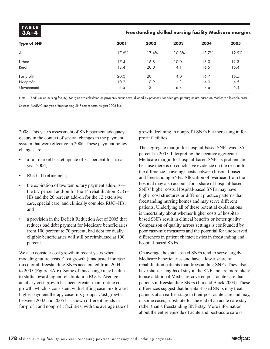**T A B L E**

## **3A –4 Freestanding skilled nursing facility Medicare margins**

| <b>Type of SNF</b>      | 2001  | 2002  | 2003   | 2004   | 2005   |
|-------------------------|-------|-------|--------|--------|--------|
| All                     | 17.6% | 17.4% | 10.8%  | 13.7%  | 12.9%  |
| Urban                   | 17.4  | 16.8  | 10.0   | 13.0   | 12.3   |
| Rural                   | 18.4  | 20.0  | 14.1   | 16.5   | 5.4    |
| For profit              | 20.0  | 20.1  | 14.0   | 16.7   | 15.5   |
| Nonprofit<br>Government | 10.2  | 8.9   | 1.3    | 4.0    | 4.5    |
|                         | 4.5   | 3.1   | $-6.8$ | $-3.6$ | $-5.4$ |

Note: SNF (skilled nursing facility). Margins are calculated as payments minus costs, divided by payments for each group; margins are based on Medicare-allowable costs.

Source: MedPAC analysis of freestanding SNF cost reports, August 2006 file.

2008. This year's assessment of SNF payment adequacy occurs in the context of several changes to the payment system that were effective in 2006. These payment policy changes are:

- a full market basket update of 3.1 percent for fiscal year 2006;
- RUG-III refinement:
- the expiration of two temporary payment add-ons the 6.7 percent add-on for the 14 rehabilitation RUG– IIIs and the 20 percent add-on for the 12 extensive care, special care, and clinically complex RUG–IIIs; and
- a provision in the Deficit Reduction Act of 2005 that reduces bad debt payment for Medicare beneficiaries from 100 percent to 70 percent; bad debt for dually eligible beneficiaries will still be reimbursed at 100 percent.

We also consider cost growth in recent years when modeling future costs. Cost growth (unadjusted for case mix) for all freestanding SNFs accelerated from 2004 to 2005 (Figure 3A-6). Some of this change may be due to shifts toward higher rehabilitation RUGs. Average ancillary cost growth has been greater than routine cost growth, which is consistent with shifting case mix toward higher payment therapy case-mix groups. Cost growth between 2002 and 2005 has shown different trends in for-profit and nonprofit facilities, with the average rate of growth declining in nonprofit SNFs but increasing in forprofit facilities.

The aggregate margin for hospital-based SNFs was –85 percent in 2005. Interpreting the negative aggregate Medicare margin for hospital-based SNFs is problematic because there is no conclusive evidence on the reason for the difference in average costs between hospital-based and freestanding SNFs. Allocation of overhead from the hospital may also account for a share of hospital-based SNFs' higher costs. Hospital-based SNFs may have higher cost structures or different practice patterns than freestanding nursing homes and may serve different patients. Underlying all of these potential explanations is uncertainty about whether higher costs of hospitalbased SNFs result in clinical benefits or better quality. Comparison of quality across settings is confounded by poor case-mix measures and the potential for unobserved differences in patient characteristics in freestanding and hospital-based SNFs.

On average, hospital-based SNFs tend to serve largely Medicare beneficiaries and have a lower share of rehabilitation patients than freestanding SNFs. They also have shorter lengths of stay in the SNF and are more likely to use additional Medicare-covered post-acute care than patients in freestanding SNFs (Liu and Black 2003). These differences suggest that hospital-based SNFs may treat patients at an earlier stage in their post-acute care and may, in some cases, substitute for the end of an acute care stay rather than a freestanding SNF stay. More information about the entire episode of acute and post-acute care is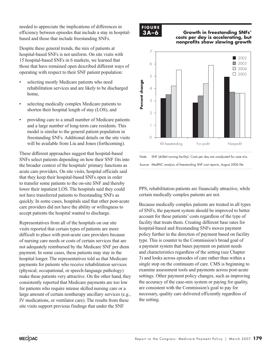needed to appreciate the implications of differences in efficiency between episodes that include a stay in hospitalbased and those that include freestanding SNFs.

Despite these general trends, the mix of patients at hospital-based SNFs is not uniform. On site visits with 15 hospital-based SNFs in 6 markets, we learned that those that have remained open described different ways of operating with respect to their SNF patient population:

- selecting mostly Medicare patients who need rehabilitation services and are likely to be discharged home,
- selecting medically complex Medicare patients to shorten their hospital length of stay (LOS), and
- providing care to a small number of Medicare patients and a large number of long-term care residents. This model is similar to the general patient population in freestanding SNFs. Additional details on the site visits will be available from Liu and Jones (forthcoming).

These different approaches suggest that hospital-based SNFs select patients depending on how their SNF fits into the broader context of the hospitals' primary functions as acute care providers. On site visits, hospital officials said that they keep their hospital-based SNFs open in order to transfer some patients to the on-site SNF and thereby lower their inpatient LOS. The hospitals said they could not have transferred patients to freestanding SNFs as quickly. In some cases, hospitals said that other post-acute care providers did not have the ability or willingness to accept patients the hospital wanted to discharge.

Representatives from all of the hospitals on our site visits reported that certain types of patients are more difficult to place with post-acute care providers because of nursing care needs or costs of certain services that are not adequately reimbursed by the Medicare SNF per diem payment. In some cases, these patients may stay in the hospital longer. The representatives told us that Medicare payments for patients who receive rehabilitation services (physical, occupational, or speech-language pathology) make these patients very attractive. On the other hand, they consistently reported that Medicare payments are too low for patients who require intense skilled nursing care or a large amount of certain nontherapy ancillary services (e.g., IV medications, or ventilator care). The results from these site visits support previous findings that under the SNF

#### **F i g ure FIGURE 3A–6**

#### **3A –6 Growth in freestanding SNFs' costs per day is accelerating, but Growth in freestanding SNFs costsper day is accelerating, but nonprofits show slowing growth nonprofits show slowing growth**



Note: SNF (skilled nursing facility). Costs per day are unadjusted for case mix. Source: MedPAC analysis of freestanding SNF cost reports, August 2006 file.

PPS, rehabilitation patients are financially attractive, while certain medically complex patients are not.

Because medically complex patients are treated in all types of SNFs, the payment system should be improved to better account for these patients' costs regardless of the type of facility that treats them. Creating different base rates for hospital-based and freestanding SNFs moves payment policy further in the direction of payment based on facility type. This is counter to the Commission's broad goal of a payment system that bases payment on patient needs and characteristics regardless of the setting (see Chapter 3) and looks across episodes of care rather than within a single stop on the continuum of care. CMS is beginning to examine assessment tools and payments across post-acute settings. Other payment policy changes, such as improving the accuracy of the case-mix system or paying for quality, are consistent with the Commission's goal to pay for necessary, quality care delivered efficiently regardless of the setting.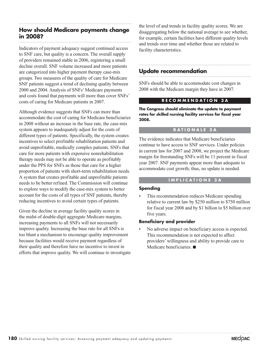# **How should Medicare payments change in 2008?**

Indicators of payment adequacy suggest continued access to SNF care, but quality is a concern. The overall supply of providers remained stable in 2006, registering a small decline overall. SNF volume increased and more patients are categorized into higher payment therapy case-mix groups. Two measures of the quality of care for Medicare SNF patients suggest a trend of declining quality between 2000 and 2004. Analysis of SNFs' Medicare payments and costs found that payments will more than cover SNFs' costs of caring for Medicare patients in 2007.

Although evidence suggests that SNFs can more than accommodate the cost of caring for Medicare beneficiaries in 2008 without an increase in the base rate, the case-mix system appears to inadequately adjust for the costs of different types of patients. Specifically, the system creates incentives to select profitable rehabilitation patients and avoid unprofitable, medically complex patients. SNFs that care for more patients with expensive nonrehabilitation therapy needs may not be able to operate as profitably under the PPS for SNFs as those that care for a higher proportion of patients with short-term rehabilitation needs. A system that creates profitable and unprofitable patients needs to be better refined. The Commission will continue to explore ways to modify the case-mix system to better account for the costs of all types of SNF patients, thereby reducing incentives to avoid certain types of patients.

Given the decline in average facility quality scores in the midst of double-digit aggregate Medicare margins, increasing payments to all SNFs will not necessarily improve quality. Increasing the base rate for all SNFs is too blunt a mechanism to encourage quality improvement because facilities would receive payment regardless of their quality and therefore have no incentive to invest in efforts that improve quality. We will continue to investigate the level of and trends in facility quality scores. We are disaggregating below the national average to see whether, for example, certain facilities have different quality levels and trends over time and whether those are related to facility characteristics.

# **Update recommendation**

SNFs should be able to accommodate cost changes in 2008 with the Medicare margin they have in 2007.

## **R e c o mm e n da t i o n 3 A**

**The Congress should eliminate the update to payment rates for skilled nursing facility services for fiscal year 2008.** 

## **R a t i o n al e 3 A**

The evidence indicates that Medicare beneficiaries continue to have access to SNF services. Under policies in current law for 2007 and 2008, we project the Medicare margin for freestanding SNFs will be 11 percent in fiscal year 2007. SNF payments appear more than adequate to accommodate cost growth; thus, no update is needed.

### **I m p lica t i o n s 3 A**

#### **Spending**

This recommendation reduces Medicare spending relative to current law by \$250 million to \$750 million for fiscal year 2008 and by \$1 billion to \$5 billion over five years.

#### **Beneficiary and provider**

• No adverse impact on beneficiary access is expected. This recommendation is not expected to affect providers' willingness and ability to provide care to Medicare beneficiaries.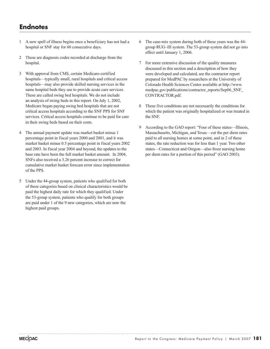# **Endnotes**

- 1 A new spell of illness begins once a beneficiary has not had a hospital or SNF stay for 60 consecutive days.
- 2 These are diagnosis codes recorded at discharge from the hospital.
- 3 With approval from CMS, certain Medicare-certified hospitals—typically small, rural hospitals and critical access hospitals—may also provide skilled nursing services in the same hospital beds they use to provide acute care services. These are called swing bed hospitals. We do not include an analysis of swing beds in this report. On July 1, 2002, Medicare began paying swing bed hospitals that are not critical access hospitals according to the SNF PPS for SNF services. Critical access hospitals continue to be paid for care in their swing beds based on their costs.
- 4 The annual payment update was market basket minus 1 percentage point in fiscal years 2000 and 2001, and it was market basket minus 0.5 percentage point in fiscal years 2002 and 2003. In fiscal year 2004 and beyond, the updates to the base rate have been the full market basket amount. In 2004, SNFs also received a 3.26 percent increase to correct for cumulative market basket forecast error since implementation of the PPS.
- 5 Under the 44-group system, patients who qualified for both of these categories based on clinical characteristics would be paid the highest daily rate for which they qualified. Under the 53-group system, patients who qualify for both groups are paid under 1 of the 9 new categories, which are now the highest paid groups.
- 6 The case-mix system during both of these years was the 44 group RUG–III system. The 53-group system did not go into effect until January 1, 2006.
- 7 For more extensive discussion of the quality measures discussed in this section and a description of how they were developed and calculated, see the contractor report prepared for MedPAC by researchers at the University of Colorado Health Sciences Center available at http://www. medpac.gov/publications/contractor\_reports/Sep06\_SNF\_ CONTRACTOR.pdf.
- 8 These five conditions are not necessarily the conditions for which the patient was originally hospitalized or was treated in the SNF.
- 9 According to the GAO report: "Four of these states—Illinois, Massachusetts, Michigan, and Texas—cut the per diem rates paid to all nursing homes at some point, and in 2 of these states, the rate reduction was for less than 1 year. Two other states—Connecticut and Oregon—also froze nursing home per diem rates for a portion of this period" (GAO 2003).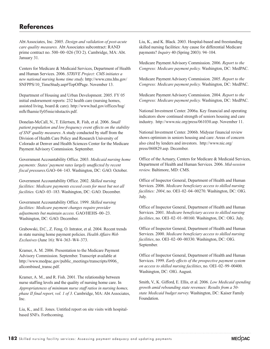# **References**

Abt Associates, Inc. 2005. *Design and validation of post-acute care quality measures.* Abt Associates subcontract: RAND prime contract no. 500–00–026 (TO 2). Cambridge, MA: Abt. January 31.

Centers for Medicare & Medicaid Services, Department of Health and Human Services. 2006. *STRIVE Project: CMS initiates a new national nursing home time study.* http://www.cms.hhs.gov/ SNFPPS/10\_TimeStudy.asp#TopOfPage. November 13.

Department of Housing and Urban Development. 2005. FY 05 initial endorsement reports: 232 health care (nursing homes, assisted living, board & care). http://www.hud.gov/offices/hsg/ mfh/fhamie/fy05mie/nhstactiv.pdf.

Donelan-McCall, N., T. Eilertsen, R. Fish, et al. 2006. *Small patient population and low frequency event effects on the stability of SNF quality measures*. A study conducted by staff from the Division of Health Care Policy and Research University of Colorado at Denver and Health Sciences Center for the Medicare Payment Advisory Commission. September.

Government Accountability Office. 2003. *Medicaid nursing home payments: States' payment rates largely unaffected by recent fiscal pressures.*GAO–04–143. Washington, DC: GAO. October.

Government Accountability Office. 2002. *Skilled nursing facilities: Medicare payments exceed costs for most but not all facilities.* GAO–03–183. Washington, DC: GAO. December.

Government Accountability Office. 1999. *Skilled nursing facilities: Medicare payment changes require provider adjustments but maintain access.* GAO/HEHS–00–23. Washington, DC: GAO. December.

Grabowski, D.C., Z. Feng, O. Intrator, et al. 2004. Recent trends in state nursing home payment policies. *Health Affairs Web Exclusives* (June 16): W4–363–W4–373.

Kramer, A. M. 2006. Presentation to the Medicare Payment Advisory Commission. September. Transcript available at http://www.medpac.gov/public\_meetings/transcripts/0906\_ allcombined\_transc.pdf.

Kramer, A. M., and R. Fish. 2001. The relationship between nurse staffing levels and the quality of nursing home care. In *Appropriateness of minimum nurse staff ratios in nursing homes, phase II final report, vol. 1 of 3*. Cambridge, MA: Abt Associates, Inc.

Liu, K., and E. Jones. Untitled report on site visits with hospitalbased SNFs. Forthcoming.

Liu, K., and K. Black. 2003. Hospital-based and freestanding skilled nursing facilities: Any cause for differential Medicare payments? *Inquiry* 40 (Spring 2003): 94–104.

Medicare Payment Advisory Commission. 2006. *Report to the Congress: Medicare payment policy.* Washington, DC: MedPAC.

Medicare Payment Advisory Commission. 2005. *Report to the Congress: Medicare payment policy.* Washington, DC: MedPAC.

Medicare Payment Advisory Commission. 2004. *Report to the Congress: Medicare payment policy.* Washington, DC: MedPAC.

National Investment Center. 2006a. Key financial and operating indicators show continued strength of seniors housing and care industry. http://www.nic.org/press/061030.asp. November 11.

National Investment Center. 2006b. Midyear financial review shows optimism in seniors housing and care: Areas of concern also cited by lenders and investors. http://www.nic.org/ press/060829.asp. December.

Office of the Actuary, Centers for Medicare & Medicaid Services, Department of Health and Human Services. 2006. *Mid-session review.* Baltimore, MD: CMS.

Office of Inspector General, Department of Health and Human Services. 2006. *Medicare beneficiary access to skilled nursing facilities: 2004*, no. OEI–02–04–00270. Washington, DC: OIG. July.

Office of Inspector General, Department of Health and Human Services. 2001. *Medicare beneficiary access to skilled nursing facilities*, no. OEI–02–01–00160. Washington, DC: OIG. July.

Office of Inspector General, Department of Health and Human Services. 2000. *Medicare beneficiary access to skilled nursing facilities*, no. OEI–02–00–00330. Washington, DC: OIG. September.

Office of Inspector General, Department of Health and Human Services. 1999. *Early effects of the prospective payment system on access to skilled nursing facilities*, no. OEI–02–99–00400. Washington, DC: OIG. August.

Smith, V., K. Gifford, E. Ellis, et al. 2006. *Low Medicaid spending growth amid rebounding state revenues: Results from a 50 state Medicaid budget survey.* Washington, DC: Kaiser Family Foundation.